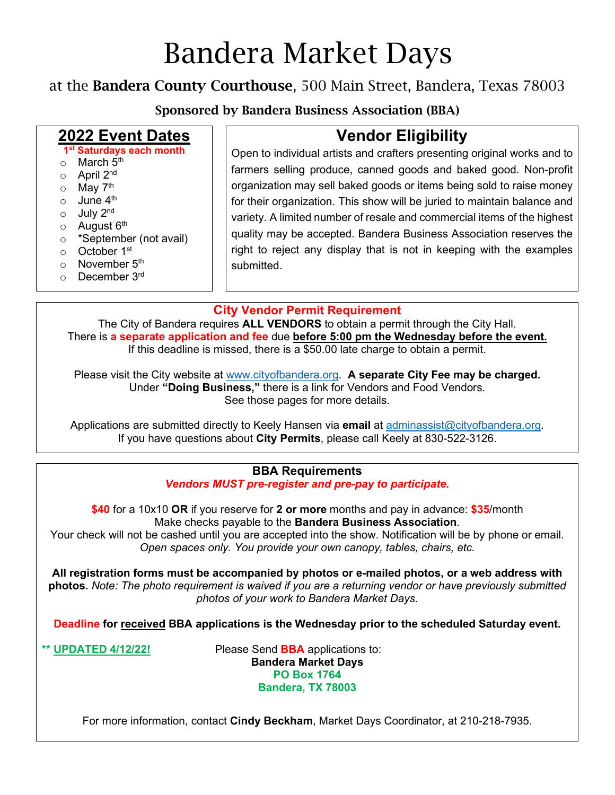# Bandera Market Days

### at the Bandera County Courthouse, 500 Main Street, Bandera, Texas 78003

Sponsored by Bandera Business Association (BBA)

### **2022 Event Dates**

**1st Saturdays each month**

- $\circ$  March  $5<sup>th</sup>$
- o April 2nd
- o May 7<sup>th</sup>
- $\circ$  June 4<sup>th</sup>
- $\circ$  July 2<sup>nd</sup>
- $\circ$  August  $6<sup>th</sup>$
- o \*September (not avail)
- o October 1st
- $\circ$  November  $5<sup>th</sup>$
- o December 3rd

## **Vendor Eligibility**

Open to individual artists and crafters presenting original works and to farmers selling produce, canned goods and baked good. Non-profit organization may sell baked goods or items being sold to raise money for their organization. This show will be juried to maintain balance and variety. A limited number of resale and commercial items of the highest quality may be accepted. Bandera Business Association reserves the right to reject any display that is not in keeping with the examples submitted.

#### **City Vendor Permit Requirement**

The City of Bandera requires **ALL VENDORS** to obtain a permit through the City Hall. There is **a separate application and fee** due **before 5:00 pm the Wednesday before the event.** If this deadline is missed, there is a \$50.00 late charge to obtain a permit.

Please visit the City website at [www.cityofbandera.org.](http://www.cityofbandera.org/) **A separate City Fee may be charged.** Under **"Doing Business,"** there is a link for Vendors and Food Vendors. See those pages for more details.

Applications are submitted directly to Keely Hansen via **email** at [adminassist@cityofbandera.org.](mailto:adminassist@cityofbandera.org) If you have questions about **City Permits**, please call Keely at 830-522-3126.

#### **BBA Requirements** *Vendors MUST pre-register and pre-pay to participate.*

**\$40** for a 10x10 **OR** if you reserve for **2 or more** months and pay in advance: **\$35**/month Make checks payable to the **Bandera Business Association**.

Your check will not be cashed until you are accepted into the show. Notification will be by phone or email. *Open spaces only. You provide your own canopy, tables, chairs, etc.* 

**All registration forms must be accompanied by photos or e-mailed photos, or a web address with photos.** *Note: The photo requirement is waived if you are a returning vendor or have previously submitted photos of your work to Bandera Market Days.*

**Deadline for received BBA applications is the Wednesday prior to the scheduled Saturday event.** 

**\*\* UPDATED 4/12/22!** Please Send **BBA** applications to: **Bandera Market Days PO Box 1764 Bandera, TX 78003**

For more information, contact **Cindy Beckham**, Market Days Coordinator, at 210-218-7935.